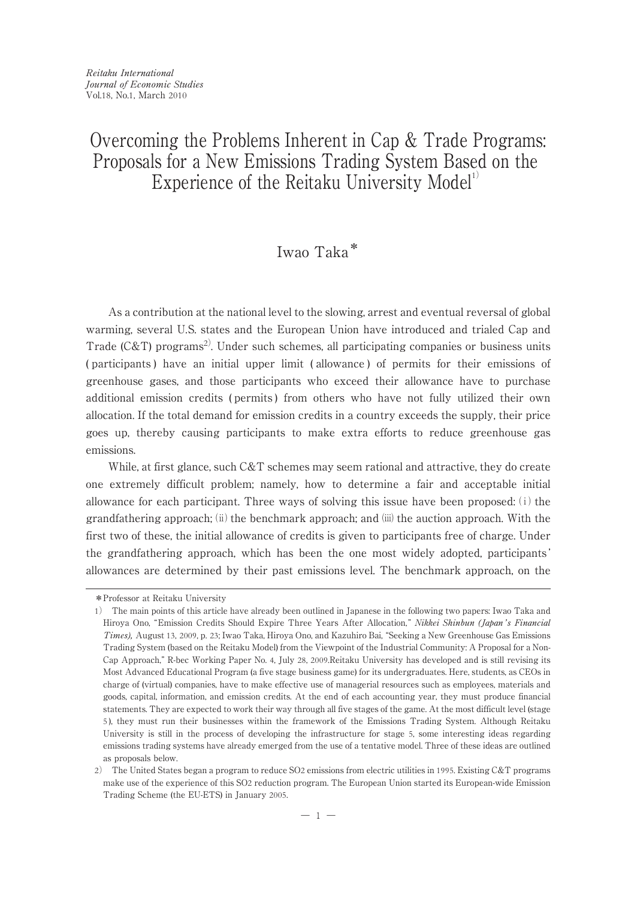# Overcoming the Problems Inherent in Cap & Trade Programs: Proposals for a New Emissions Trading System Based on the Experience of the Reitaku University Model<sup>1)</sup>

## Iwao Taka\*

As a contribution at the national level to the slowing, arrest and eventual reversal of global warming, several U.S. states and the European Union have introduced and trialed Cap and Trade (C&T) programs<sup>2)</sup>. Under such schemes, all participating companies or business units ( participants ) have an initial upper limit ( allowance ) of permits for their emissions of greenhouse gases, and those participants who exceed their allowance have to purchase additional emission credits ( permits ) from others who have not fully utilized their own allocation. If the total demand for emission credits in a country exceeds the supply, their price goes up, thereby causing participants to make extra efforts to reduce greenhouse gas emissions.

While, at first glance, such  $C&T$  schemes may seem rational and attractive, they do create one extremely difficult problem; namely, how to determine a fair and acceptable initial allowance for each participant. Three ways of solving this issue have been proposed:  $(i)$  the grandfathering approach; (ii) the benchmark approach; and (iii) the auction approach. With the first two of these, the initial allowance of credits is given to participants free of charge. Under the grandfathering approach, which has been the one most widely adopted, participants ' allowances are determined by their past emissions level. The benchmark approach, on the

<sup>\*</sup>Professor at Reitaku University

<sup>1</sup>) The main points of this article have already been outlined in Japanese in the following two papers: Iwao Taka and Hiroya Ono, "Emission Credits Should Expire Three Years After Allocation," Nikkei Shinbun (Japan's Financial Times), August 13, 2009, p. 23; Iwao Taka, Hiroya Ono, and Kazuhiro Bai, "Seeking a New Greenhouse Gas Emissions Trading System (based on the Reitaku Model) from the Viewpoint of the Industrial Community: A Proposal for a Non-Cap Approach," R-bec Working Paper No. 4, July 28, 2009.Reitaku University has developed and is still revising its Most Advanced Educational Program (a five stage business game) for its undergraduates. Here, students, as CEOs in charge of (virtual) companies, have to make effective use of managerial resources such as employees, materials and goods, capital, information, and emission credits. At the end of each accounting year, they must produce financial statements. They are expected to work their way through all five stages of the game. At the most difficult level (stage 5 ), they must run their businesses within the framework of the Emissions Trading System. Although Reitaku University is still in the process of developing the infrastructure for stage 5, some interesting ideas regarding emissions trading systems have already emerged from the use of a tentative model. Three of these ideas are outlined as proposals below.

<sup>2</sup>) The United States began a program to reduce SO2 emissions from electric utilities in 1995. Existing C&T programs make use of the experience of this SO2 reduction program. The European Union started its European-wide Emission Trading Scheme (the EU-ETS) in January 2005.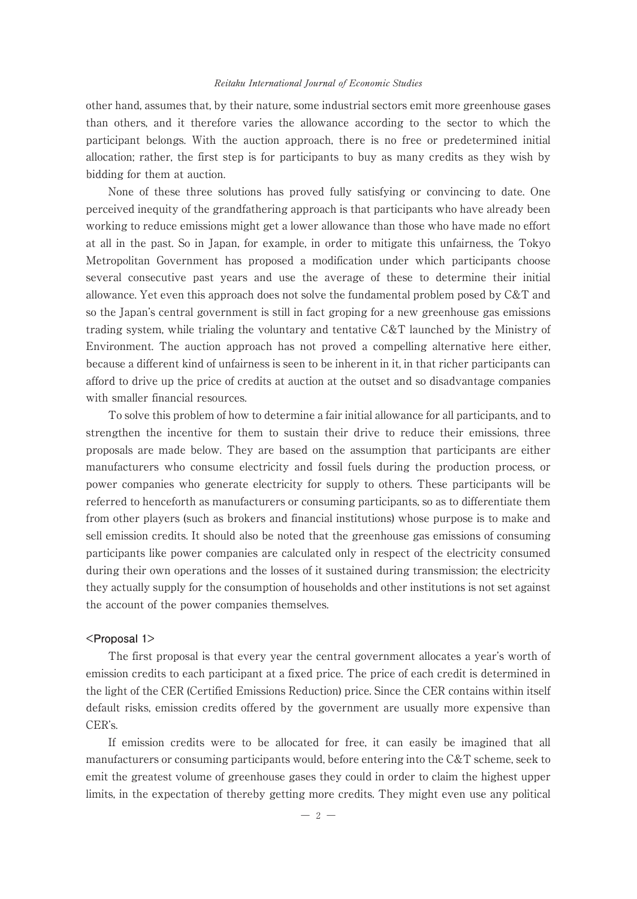## Reitaku International Journal of Economic Studies

other hand, assumes that, by their nature, some industrial sectors emit more greenhouse gases than others, and it therefore varies the allowance according to the sector to which the participant belongs. With the auction approach, there is no free or predetermined initial allocation; rather, the first step is for participants to buy as many credits as they wish by bidding for them at auction.

None of these three solutions has proved fully satisfying or convincing to date. One perceived inequity of the grandfathering approach is that participants who have already been working to reduce emissions might get a lower allowance than those who have made no effort at all in the past. So in Japan, for example, in order to mitigate this unfairness, the Tokyo Metropolitan Government has proposed a modification under which participants choose several consecutive past years and use the average of these to determine their initial allowance. Yet even this approach does not solve the fundamental problem posed by C&T and so the Japan's central government is still in fact groping for a new greenhouse gas emissions trading system, while trialing the voluntary and tentative C&T launched by the Ministry of Environment. The auction approach has not proved a compelling alternative here either, because a different kind of unfairness is seen to be inherent in it, in that richer participants can afford to drive up the price of credits at auction at the outset and so disadvantage companies with smaller financial resources.

To solve this problem of how to determine a fair initial allowance for all participants, and to strengthen the incentive for them to sustain their drive to reduce their emissions, three proposals are made below. They are based on the assumption that participants are either manufacturers who consume electricity and fossil fuels during the production process, or power companies who generate electricity for supply to others. These participants will be referred to henceforth as manufacturers or consuming participants, so as to differentiate them from other players (such as brokers and financial institutions) whose purpose is to make and sell emission credits. It should also be noted that the greenhouse gas emissions of consuming participants like power companies are calculated only in respect of the electricity consumed during their own operations and the losses of it sustained during transmission; the electricity they actually supply for the consumption of households and other institutions is not set against the account of the power companies themselves.

## **<Proposal 1>**

The first proposal is that every year the central government allocates a year's worth of emission credits to each participant at a fixed price. The price of each credit is determined in the light of the CER (Certified Emissions Reduction) price. Since the CER contains within itself default risks, emission credits offered by the government are usually more expensive than CER's.

If emission credits were to be allocated for free, it can easily be imagined that all manufacturers or consuming participants would, before entering into the C&T scheme, seek to emit the greatest volume of greenhouse gases they could in order to claim the highest upper limits, in the expectation of thereby getting more credits. They might even use any political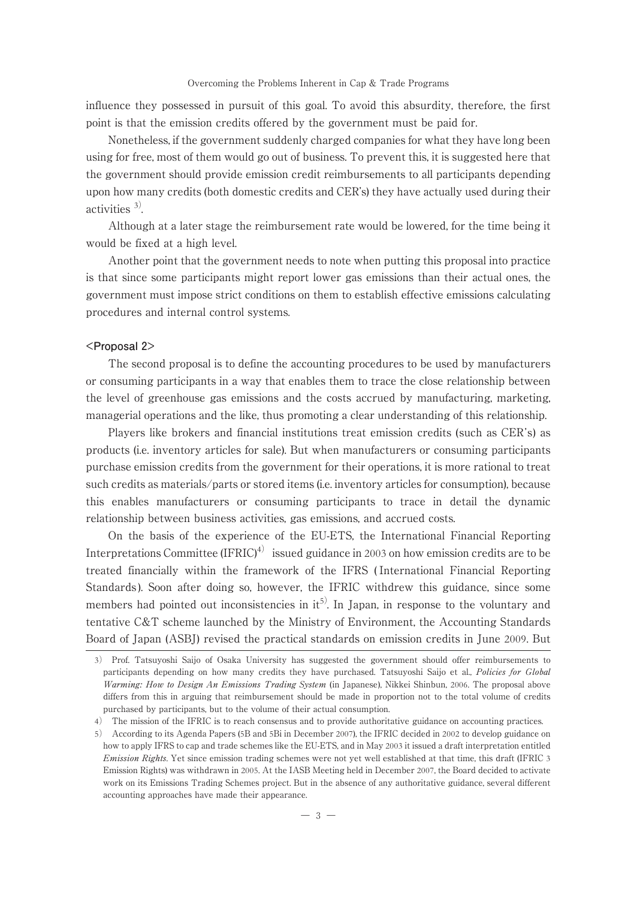#### Overcoming the Problems Inherent in Cap & Trade Programs

influence they possessed in pursuit of this goal. To avoid this absurdity, therefore, the first point is that the emission credits offered by the government must be paid for.

Nonetheless, if the government suddenly charged companies for what they have long been using for free, most of them would go out of business. To prevent this, it is suggested here that the government should provide emission credit reimbursements to all participants depending upon how many credits (both domestic credits and CER's) they have actually used during their activities <sup>3</sup>).

Although at a later stage the reimbursement rate would be lowered, for the time being it would be fixed at a high level.

Another point that the government needs to note when putting this proposal into practice is that since some participants might report lower gas emissions than their actual ones, the government must impose strict conditions on them to establish effective emissions calculating procedures and internal control systems.

## **<Proposal 2>**

The second proposal is to define the accounting procedures to be used by manufacturers or consuming participants in a way that enables them to trace the close relationship between the level of greenhouse gas emissions and the costs accrued by manufacturing, marketing, managerial operations and the like, thus promoting a clear understanding of this relationship.

Players like brokers and financial institutions treat emission credits (such as CER's) as products (i.e. inventory articles for sale). But when manufacturers or consuming participants purchase emission credits from the government for their operations, it is more rational to treat such credits as materials/parts or stored items (i.e. inventory articles for consumption), because this enables manufacturers or consuming participants to trace in detail the dynamic relationship between business activities, gas emissions, and accrued costs.

On the basis of the experience of the EU-ETS, the International Financial Reporting Interpretations Committee  $(IFRIC)^4$  issued guidance in 2003 on how emission credits are to be treated financially within the framework of the IFRS ( International Financial Reporting Standards ). Soon after doing so, however, the IFRIC withdrew this guidance, since some members had pointed out inconsistencies in  $it^{5}$ . In Japan, in response to the voluntary and tentative C&T scheme launched by the Ministry of Environment, the Accounting Standards Board of Japan (ASBJ) revised the practical standards on emission credits in June 2009. But

<sup>3</sup>) Prof. Tatsuyoshi Saijo of Osaka University has suggested the government should offer reimbursements to participants depending on how many credits they have purchased. Tatsuyoshi Saijo et al., Policies for Global Warming: How to Design An Emissions Trading System (in Japanese), Nikkei Shinbun, 2006. The proposal above differs from this in arguing that reimbursement should be made in proportion not to the total volume of credits purchased by participants, but to the volume of their actual consumption.

<sup>4</sup>) The mission of the IFRIC is to reach consensus and to provide authoritative guidance on accounting practices.

<sup>5</sup>) According to its Agenda Papers (5B and 5Bi in December 2007), the IFRIC decided in 2002 to develop guidance on how to apply IFRS to cap and trade schemes like the EU-ETS, and in May 2003 it issued a draft interpretation entitled Emission Rights. Yet since emission trading schemes were not yet well established at that time, this draft (IFRIC 3 Emission Rights) was withdrawn in 2005. At the IASB Meeting held in December 2007, the Board decided to activate work on its Emissions Trading Schemes project. But in the absence of any authoritative guidance, several different accounting approaches have made their appearance.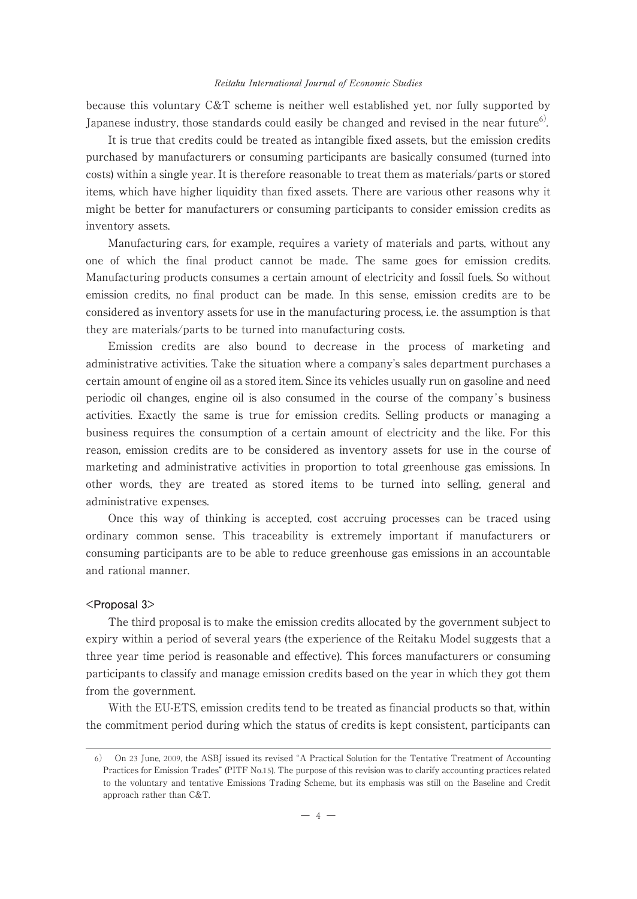## Reitaku International Journal of Economic Studies

because this voluntary C&T scheme is neither well established yet, nor fully supported by Japanese industry, those standards could easily be changed and revised in the near future<sup>6)</sup>.

It is true that credits could be treated as intangible fixed assets, but the emission credits purchased by manufacturers or consuming participants are basically consumed (turned into costs) within a single year. It is therefore reasonable to treat them as materials/parts or stored items, which have higher liquidity than fixed assets. There are various other reasons why it might be better for manufacturers or consuming participants to consider emission credits as inventory assets.

Manufacturing cars, for example, requires a variety of materials and parts, without any one of which the final product cannot be made. The same goes for emission credits. Manufacturing products consumes a certain amount of electricity and fossil fuels. So without emission credits, no final product can be made. In this sense, emission credits are to be considered as inventory assets for use in the manufacturing process, i.e. the assumption is that they are materials/parts to be turned into manufacturing costs.

Emission credits are also bound to decrease in the process of marketing and administrative activities. Take the situation where a company's sales department purchases a certain amount of engine oil as a stored item. Since its vehicles usually run on gasoline and need periodic oil changes, engine oil is also consumed in the course of the company's business activities. Exactly the same is true for emission credits. Selling products or managing a business requires the consumption of a certain amount of electricity and the like. For this reason, emission credits are to be considered as inventory assets for use in the course of marketing and administrative activities in proportion to total greenhouse gas emissions. In other words, they are treated as stored items to be turned into selling, general and administrative expenses.

Once this way of thinking is accepted, cost accruing processes can be traced using ordinary common sense. This traceability is extremely important if manufacturers or consuming participants are to be able to reduce greenhouse gas emissions in an accountable and rational manner.

## **<Proposal 3>**

The third proposal is to make the emission credits allocated by the government subject to expiry within a period of several years (the experience of the Reitaku Model suggests that a three year time period is reasonable and effective). This forces manufacturers or consuming participants to classify and manage emission credits based on the year in which they got them from the government.

With the EU-ETS, emission credits tend to be treated as financial products so that, within the commitment period during which the status of credits is kept consistent, participants can

<sup>6</sup>) On 23 June, 2009, the ASBJ issued its revised "A Practical Solution for the Tentative Treatment of Accounting Practices for Emission Trades" (PITF No.15). The purpose of this revision was to clarify accounting practices related to the voluntary and tentative Emissions Trading Scheme, but its emphasis was still on the Baseline and Credit approach rather than C&T.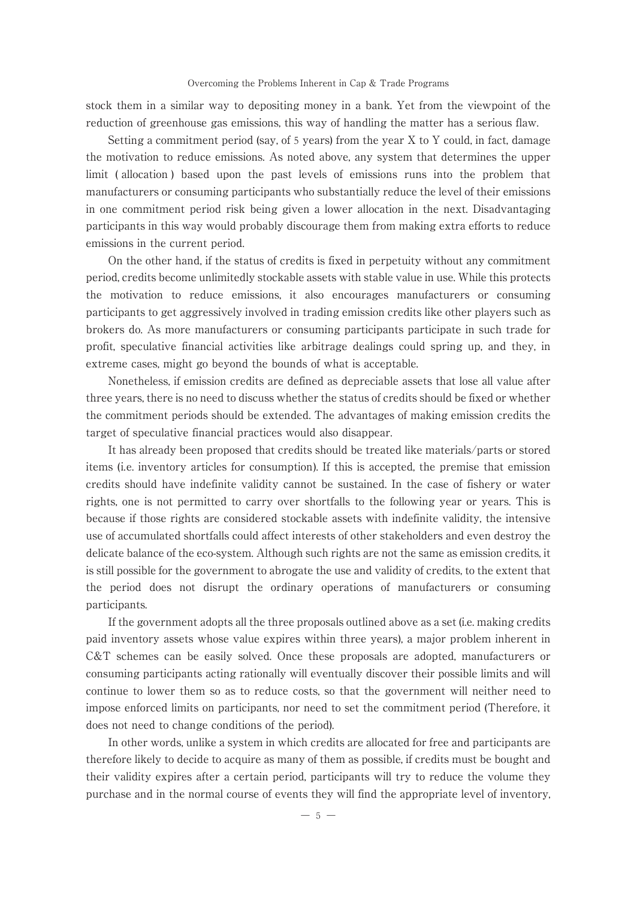#### Overcoming the Problems Inherent in Cap & Trade Programs

stock them in a similar way to depositing money in a bank. Yet from the viewpoint of the reduction of greenhouse gas emissions, this way of handling the matter has a serious flaw.

Setting a commitment period (say, of 5 years) from the year X to Y could, in fact, damage the motivation to reduce emissions. As noted above, any system that determines the upper limit ( allocation ) based upon the past levels of emissions runs into the problem that manufacturers or consuming participants who substantially reduce the level of their emissions in one commitment period risk being given a lower allocation in the next. Disadvantaging participants in this way would probably discourage them from making extra efforts to reduce emissions in the current period.

On the other hand, if the status of credits is fixed in perpetuity without any commitment period, credits become unlimitedly stockable assets with stable value in use. While this protects the motivation to reduce emissions, it also encourages manufacturers or consuming participants to get aggressively involved in trading emission credits like other players such as brokers do. As more manufacturers or consuming participants participate in such trade for profit, speculative financial activities like arbitrage dealings could spring up, and they, in extreme cases, might go beyond the bounds of what is acceptable.

Nonetheless, if emission credits are defined as depreciable assets that lose all value after three years, there is no need to discuss whether the status of credits should be fixed or whether the commitment periods should be extended. The advantages of making emission credits the target of speculative financial practices would also disappear.

It has already been proposed that credits should be treated like materials/parts or stored items (i.e. inventory articles for consumption). If this is accepted, the premise that emission credits should have indefinite validity cannot be sustained. In the case of fishery or water rights, one is not permitted to carry over shortfalls to the following year or years. This is because if those rights are considered stockable assets with indefinite validity, the intensive use of accumulated shortfalls could affect interests of other stakeholders and even destroy the delicate balance of the eco-system. Although such rights are not the same as emission credits, it is still possible for the government to abrogate the use and validity of credits, to the extent that the period does not disrupt the ordinary operations of manufacturers or consuming participants.

If the government adopts all the three proposals outlined above as a set (i.e. making credits paid inventory assets whose value expires within three years), a major problem inherent in C&T schemes can be easily solved. Once these proposals are adopted, manufacturers or consuming participants acting rationally will eventually discover their possible limits and will continue to lower them so as to reduce costs, so that the government will neither need to impose enforced limits on participants, nor need to set the commitment period (Therefore, it does not need to change conditions of the period).

In other words, unlike a system in which credits are allocated for free and participants are therefore likely to decide to acquire as many of them as possible, if credits must be bought and their validity expires after a certain period, participants will try to reduce the volume they purchase and in the normal course of events they will find the appropriate level of inventory,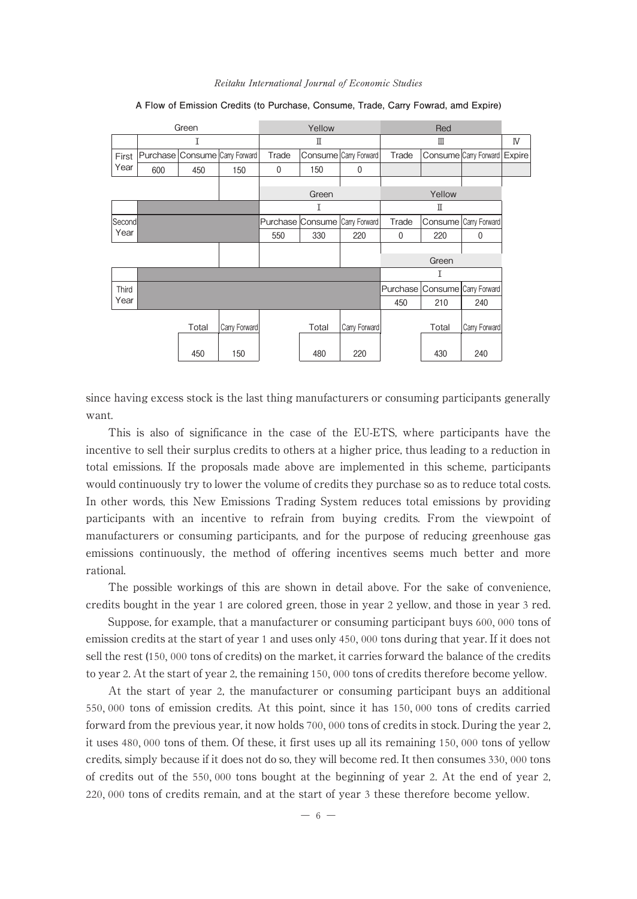#### Reitaku International Journal of Economic Studies

| Green  |     |       |                                | Yellow |                                |                       | Red         |       |                                |    |
|--------|-----|-------|--------------------------------|--------|--------------------------------|-----------------------|-------------|-------|--------------------------------|----|
|        | Ι   |       |                                | П      |                                |                       | Ш           |       |                                | IV |
| First  |     |       | Purchase Consume Carry Forward | Trade  |                                | Consume Carry Forward | Trade       |       | Consume Carry Forward Expire   |    |
| Year   | 600 | 450   | 150                            | 0      | 150                            | $\Omega$              |             |       |                                |    |
|        |     |       |                                |        |                                |                       |             |       |                                |    |
|        |     |       |                                | Green  |                                |                       | Yellow      |       |                                |    |
|        |     |       |                                | Ι      |                                |                       | π           |       |                                |    |
| Second |     |       |                                |        | Purchase Consume Carry Forward |                       | Trade       |       | Consume Carry Forward          |    |
| Year   |     |       |                                | 550    | 330                            | 220                   | $\mathbf 0$ | 220   | $\mathbf 0$                    |    |
|        |     |       |                                |        |                                |                       |             |       |                                |    |
|        |     |       |                                |        |                                |                       | Green       |       |                                |    |
|        | Τ   |       |                                |        |                                |                       |             |       |                                |    |
| Third  |     |       |                                |        |                                |                       |             |       | Purchase Consume Carry Forward |    |
| Year   |     |       |                                |        |                                |                       | 450         | 210   | 240                            |    |
|        |     | Total | Carry Forward                  |        | Total                          | Carry Forward         |             | Total | Carry Forward                  |    |
|        |     | 450   | 150                            |        | 480                            | 220                   |             | 430   | 240                            |    |

## **A Flow of Emission Credits (to Purchase, Consume, Trade, Carry Fowrad, amd Expire)**

since having excess stock is the last thing manufacturers or consuming participants generally want.

This is also of significance in the case of the EU-ETS, where participants have the incentive to sell their surplus credits to others at a higher price, thus leading to a reduction in total emissions. If the proposals made above are implemented in this scheme, participants would continuously try to lower the volume of credits they purchase so as to reduce total costs. In other words, this New Emissions Trading System reduces total emissions by providing participants with an incentive to refrain from buying credits. From the viewpoint of manufacturers or consuming participants, and for the purpose of reducing greenhouse gas emissions continuously, the method of offering incentives seems much better and more rational.

The possible workings of this are shown in detail above. For the sake of convenience, credits bought in the year 1 are colored green, those in year 2 yellow, and those in year 3 red.

Suppose, for example, that a manufacturer or consuming participant buys 600, 000 tons of emission credits at the start of year 1 and uses only 450, 000 tons during that year. If it does not sell the rest (150, 000 tons of credits) on the market, it carries forward the balance of the credits to year 2. At the start of year 2, the remaining 150, 000 tons of credits therefore become yellow.

At the start of year 2, the manufacturer or consuming participant buys an additional 550, 000 tons of emission credits. At this point, since it has 150, 000 tons of credits carried forward from the previous year, it now holds 700, 000 tons of credits in stock. During the year 2, it uses 480, 000 tons of them. Of these, it first uses up all its remaining 150, 000 tons of yellow credits, simply because if it does not do so, they will become red. It then consumes 330, 000 tons of credits out of the 550, 000 tons bought at the beginning of year 2. At the end of year 2, 220, 000 tons of credits remain, and at the start of year 3 these therefore become yellow.